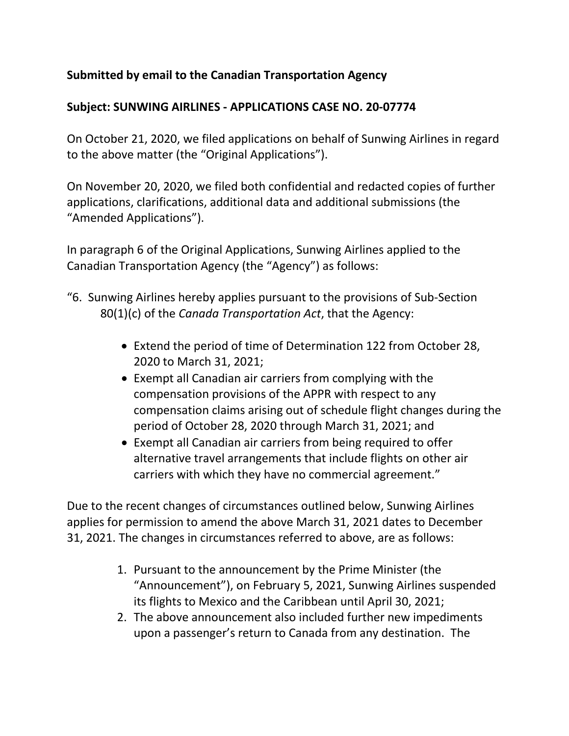## **Submitted by email to the Canadian Transportation Agency**

## **Subject: SUNWING AIRLINES - APPLICATIONS CASE NO. 20-07774**

On October 21, 2020, we filed applications on behalf of Sunwing Airlines in regard to the above matter (the "Original Applications").

On November 20, 2020, we filed both confidential and redacted copies of further applications, clarifications, additional data and additional submissions (the "Amended Applications").

In paragraph 6 of the Original Applications, Sunwing Airlines applied to the Canadian Transportation Agency (the "Agency") as follows:

- "6. Sunwing Airlines hereby applies pursuant to the provisions of Sub-Section 80(1)(c) of the *Canada Transportation Act*, that the Agency:
	- Extend the period of time of Determination 122 from October 28, 2020 to March 31, 2021;
	- Exempt all Canadian air carriers from complying with the compensation provisions of the APPR with respect to any compensation claims arising out of schedule flight changes during the period of October 28, 2020 through March 31, 2021; and
	- Exempt all Canadian air carriers from being required to offer alternative travel arrangements that include flights on other air carriers with which they have no commercial agreement."

Due to the recent changes of circumstances outlined below, Sunwing Airlines applies for permission to amend the above March 31, 2021 dates to December 31, 2021. The changes in circumstances referred to above, are as follows:

- 1. Pursuant to the announcement by the Prime Minister (the "Announcement"), on February 5, 2021, Sunwing Airlines suspended its flights to Mexico and the Caribbean until April 30, 2021;
- 2. The above announcement also included further new impediments upon a passenger's return to Canada from any destination. The